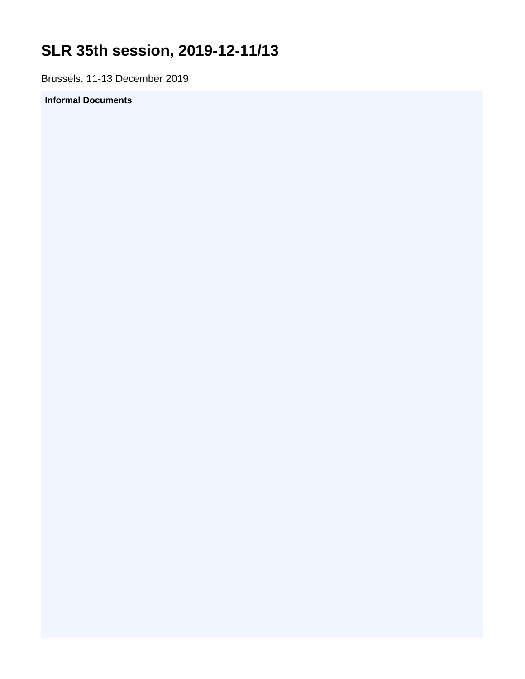## <span id="page-0-0"></span>**SLR 35th session, 2019-12-11/13**

Brussels, 11-13 December 2019

## **Informal Documents**